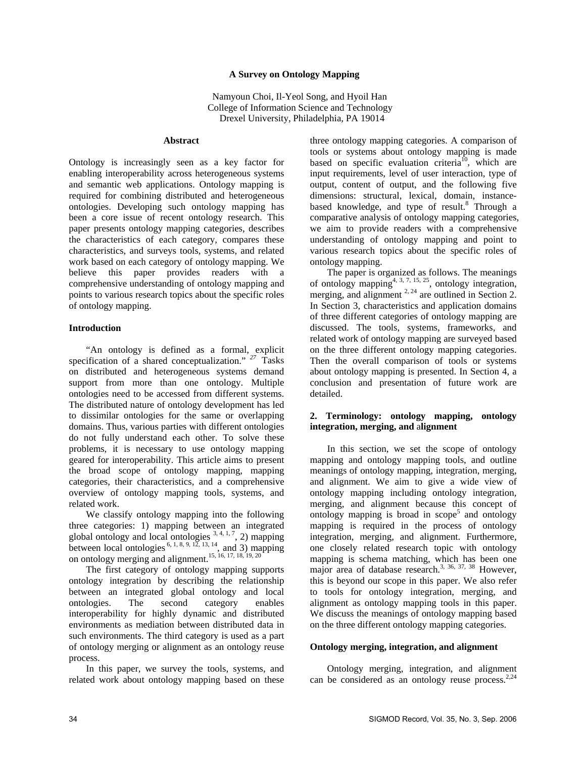#### **A Survey on Ontology Mapping**

 Namyoun Choi, Il-Yeol Song, and Hyoil Han College of Information Science and Technology Drexel University, Philadelphia, PA 19014

#### **Abstract**

Ontology is increasingly seen as a key factor for enabling interoperability across heterogeneous systems and semantic web applications. Ontology mapping is required for combining distributed and heterogeneous ontologies. Developing such ontology mapping has been a core issue of recent ontology research. This paper presents ontology mapping categories, describes the characteristics of each category, compares these characteristics, and surveys tools, systems, and related work based on each category of ontology mapping. We believe this paper provides readers with a comprehensive understanding of ontology mapping and points to various research topics about the specific roles of ontology mapping.

#### **Introduction**

"An ontology is defined as a formal, explicit specification of a shared conceptualization." *<sup>27</sup>* Tasks on distributed and heterogeneous systems demand support from more than one ontology. Multiple ontologies need to be accessed from different systems. The distributed nature of ontology development has led to dissimilar ontologies for the same or overlapping domains. Thus, various parties with different ontologies do not fully understand each other. To solve these problems, it is necessary to use ontology mapping geared for interoperability. This article aims to present the broad scope of ontology mapping, mapping categories, their characteristics, and a comprehensive overview of ontology mapping tools, systems, and related work.

We classify ontology mapping into the following three categories: 1) mapping between an integrated global ontology and local ontologies  $3, 4, 1, 7, 2$ ) mapping between local ontologies  $^{6, 1, 8, 9, 12, 13, 14}$ , and 3) mapping on ontology merging and alignment.<sup>15, 16, 17, 18, 19, 20</sup>

The first category of ontology mapping supports ontology integration by describing the relationship between an integrated global ontology and local ontologies. The second category enables interoperability for highly dynamic and distributed environments as mediation between distributed data in such environments. The third category is used as a part of ontology merging or alignment as an ontology reuse process.

In this paper, we survey the tools, systems, and related work about ontology mapping based on these

three ontology mapping categories. A comparison of tools or systems about ontology mapping is made based on specific evaluation criteria<sup>10</sup>, which are input requirements, level of user interaction, type of output, content of output, and the following five dimensions: structural, lexical, domain, instancebased knowledge, and type of result.<sup>8</sup> Through a comparative analysis of ontology mapping categories, we aim to provide readers with a comprehensive understanding of ontology mapping and point to various research topics about the specific roles of ontology mapping.

The paper is organized as follows. The meanings of ontology mapping<sup>4, 3, 7, 15, 25</sup>, ontology integration, merging, and alignment  $2.24$  are outlined in Section 2. In Section 3, characteristics and application domains of three different categories of ontology mapping are discussed. The tools, systems, frameworks, and related work of ontology mapping are surveyed based on the three different ontology mapping categories. Then the overall comparison of tools or systems about ontology mapping is presented. In Section 4, a conclusion and presentation of future work are detailed.

### **2. Terminology: ontology mapping, ontology integration, merging, and** a**lignment**

 In this section, we set the scope of ontology mapping and ontology mapping tools, and outline meanings of ontology mapping, integration, merging, and alignment. We aim to give a wide view of ontology mapping including ontology integration, merging, and alignment because this concept of ontology mapping is broad in  $\text{scope}^5$  and ontology mapping is required in the process of ontology integration, merging, and alignment. Furthermore, one closely related research topic with ontology mapping is schema matching, which has been one major area of database research.<sup>3, 36, 37, 38</sup> However, this is beyond our scope in this paper. We also refer to tools for ontology integration, merging, and alignment as ontology mapping tools in this paper. We discuss the meanings of ontology mapping based on the three different ontology mapping categories.

### **Ontology merging, integration, and alignment**

 Ontology merging, integration, and alignment can be considered as an ontology reuse process. $2,24$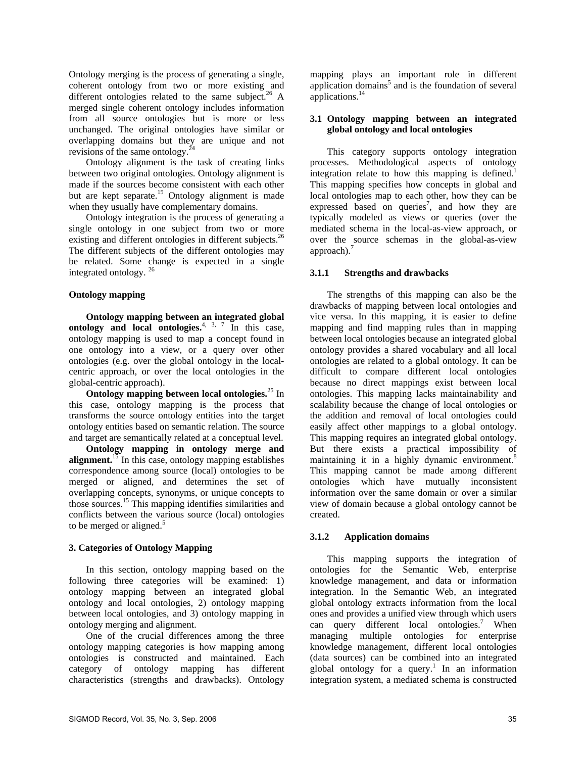Ontology merging is the process of generating a single, coherent ontology from two or more existing and different ontologies related to the same subject.<sup>26</sup> A merged single coherent ontology includes information from all source ontologies but is more or less unchanged. The original ontologies have similar or overlapping domains but they are unique and not revisions of the same ontology.<sup>2</sup>

 Ontology alignment is the task of creating links between two original ontologies. Ontology alignment is made if the sources become consistent with each other but are kept separate.<sup>15</sup> Ontology alignment is made when they usually have complementary domains.

 Ontology integration is the process of generating a single ontology in one subject from two or more existing and different ontologies in different subjects.<sup>26</sup> The different subjects of the different ontologies may be related. Some change is expected in a single integrated ontology. <sup>26</sup>

### **Ontology mapping**

 **Ontology mapping between an integrated global ontology and local ontologies.**<sup>4, 3, 7</sup> In this case, ontology mapping is used to map a concept found in one ontology into a view, or a query over other ontologies (e.g. over the global ontology in the localcentric approach, or over the local ontologies in the global-centric approach).

 **Ontology mapping between local ontologies.**25 In this case, ontology mapping is the process that transforms the source ontology entities into the target ontology entities based on semantic relation. The source and target are semantically related at a conceptual level.

**Ontology mapping in ontology merge and alignment.**<sup>15</sup> In this case, ontology mapping establishes correspondence among source (local) ontologies to be merged or aligned, and determines the set of overlapping concepts, synonyms, or unique concepts to those sources.15 This mapping identifies similarities and conflicts between the various source (local) ontologies to be merged or aligned.<sup>5</sup>

## **3. Categories of Ontology Mapping**

 In this section, ontology mapping based on the following three categories will be examined: 1) ontology mapping between an integrated global ontology and local ontologies, 2) ontology mapping between local ontologies, and 3) ontology mapping in ontology merging and alignment.

 One of the crucial differences among the three ontology mapping categories is how mapping among ontologies is constructed and maintained. Each category of ontology mapping has different characteristics (strengths and drawbacks). Ontology

mapping plays an important role in different application domains<sup>5</sup> and is the foundation of several applications.<sup>14</sup>

## **3.1 Ontology mapping between an integrated global ontology and local ontologies**

This category supports ontology integration processes. Methodological aspects of ontology integration relate to how this mapping is defined.<sup>1</sup> This mapping specifies how concepts in global and local ontologies map to each other, how they can be expressed based on queries<sup>7</sup>, and how they are typically modeled as views or queries (over the mediated schema in the local-as-view approach, or over the source schemas in the global-as-view approach). $<sup>7</sup>$ </sup>

# **3.1.1 Strengths and drawbacks**

The strengths of this mapping can also be the drawbacks of mapping between local ontologies and vice versa. In this mapping, it is easier to define mapping and find mapping rules than in mapping between local ontologies because an integrated global ontology provides a shared vocabulary and all local ontologies are related to a global ontology. It can be difficult to compare different local ontologies because no direct mappings exist between local ontologies. This mapping lacks maintainability and scalability because the change of local ontologies or the addition and removal of local ontologies could easily affect other mappings to a global ontology. This mapping requires an integrated global ontology. But there exists a practical impossibility of maintaining it in a highly dynamic environment.<sup>8</sup> This mapping cannot be made among different ontologies which have mutually inconsistent information over the same domain or over a similar view of domain because a global ontology cannot be created.

# **3.1.2 Application domains**

This mapping supports the integration of ontologies for the Semantic Web, enterprise knowledge management, and data or information integration. In the Semantic Web, an integrated global ontology extracts information from the local ones and provides a unified view through which users can query different local ontologies.<sup>7</sup> When managing multiple ontologies for enterprise knowledge management, different local ontologies (data sources) can be combined into an integrated global ontology for a query.<sup>1</sup> In an information integration system, a mediated schema is constructed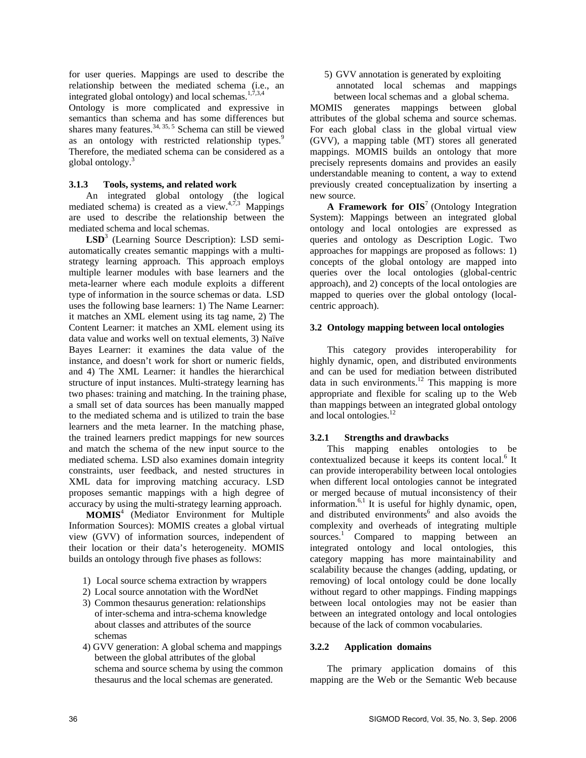for user queries. Mappings are used to describe the relationship between the mediated schema (i.e., an integrated global ontology) and local schemas.<sup>1,7,3,4</sup>

Ontology is more complicated and expressive in semantics than schema and has some differences but shares many features. $34, 35, 5$  Schema can still be viewed as an ontology with restricted relationship types.<sup>9</sup> Therefore, the mediated schema can be considered as a global ontology.3

### **3.1.3 Tools, systems, and related work**

An integrated global ontology (the logical mediated schema) is created as a view. $4,7,3$  Mappings are used to describe the relationship between the mediated schema and local schemas.

LSD<sup>3</sup> (Learning Source Description): LSD semiautomatically creates semantic mappings with a multistrategy learning approach. This approach employs multiple learner modules with base learners and the meta-learner where each module exploits a different type of information in the source schemas or data. LSD uses the following base learners: 1) The Name Learner: it matches an XML element using its tag name, 2) The Content Learner: it matches an XML element using its data value and works well on textual elements, 3) Naïve Bayes Learner: it examines the data value of the instance, and doesn't work for short or numeric fields, and 4) The XML Learner: it handles the hierarchical structure of input instances. Multi-strategy learning has two phases: training and matching. In the training phase, a small set of data sources has been manually mapped to the mediated schema and is utilized to train the base learners and the meta learner. In the matching phase, the trained learners predict mappings for new sources and match the schema of the new input source to the mediated schema. LSD also examines domain integrity constraints, user feedback, and nested structures in XML data for improving matching accuracy. LSD proposes semantic mappings with a high degree of accuracy by using the multi-strategy learning approach.

 **MOMIS**<sup>4</sup> (Mediator Environment for Multiple Information Sources): MOMIS creates a global virtual view (GVV) of information sources, independent of their location or their data's heterogeneity. MOMIS builds an ontology through five phases as follows:

- 1) Local source schema extraction by wrappers
- 2) Local source annotation with the WordNet
- 3) Common thesaurus generation: relationships of inter-schema and intra-schema knowledge about classes and attributes of the source schemas
- 4) GVV generation: A global schema and mappings between the global attributes of the global schema and source schema by using the common thesaurus and the local schemas are generated.

5) GVV annotation is generated by exploiting

 annotated local schemas and mappings between local schemas and a global schema.

MOMIS generates mappings between global attributes of the global schema and source schemas. For each global class in the global virtual view (GVV), a mapping table (MT) stores all generated mappings. MOMIS builds an ontology that more precisely represents domains and provides an easily understandable meaning to content, a way to extend previously created conceptualization by inserting a new source.

**A Framework for OIS**7 (Ontology Integration System): Mappings between an integrated global ontology and local ontologies are expressed as queries and ontology as Description Logic. Two approaches for mappings are proposed as follows: 1) concepts of the global ontology are mapped into queries over the local ontologies (global-centric approach), and 2) concepts of the local ontologies are mapped to queries over the global ontology (localcentric approach).

### **3.2 Ontology mapping between local ontologies**

This category provides interoperability for highly dynamic, open, and distributed environments and can be used for mediation between distributed data in such environments.<sup>12</sup> This mapping is more appropriate and flexible for scaling up to the Web than mappings between an integrated global ontology and local ontologies.<sup>12</sup>

## **3.2.1 Strengths and drawbacks**

This mapping enables ontologies to be contextualized because it keeps its content local.<sup>6</sup> It can provide interoperability between local ontologies when different local ontologies cannot be integrated or merged because of mutual inconsistency of their information. $6,1$  It is useful for highly dynamic, open, and distributed environments<sup>6</sup> and also avoids the complexity and overheads of integrating multiple sources.<sup>1</sup> Compared to mapping between an integrated ontology and local ontologies, this category mapping has more maintainability and scalability because the changes (adding, updating, or removing) of local ontology could be done locally without regard to other mappings. Finding mappings between local ontologies may not be easier than between an integrated ontology and local ontologies because of the lack of common vocabularies.

## **3.2.2 Application domains**

The primary application domains of this mapping are the Web or the Semantic Web because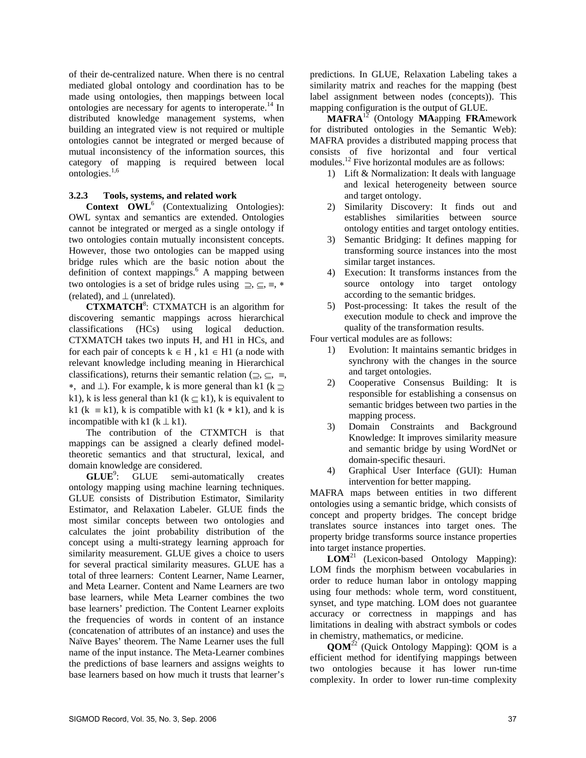of their de-centralized nature. When there is no central mediated global ontology and coordination has to be made using ontologies, then mappings between local ontologies are necessary for agents to interoperate.<sup>14</sup> In distributed knowledge management systems, when building an integrated view is not required or multiple ontologies cannot be integrated or merged because of mutual inconsistency of the information sources, this category of mapping is required between local ontologies.1,6

#### **3.2.3 Tools, systems, and related work**

**Context OWL<sup>6</sup>** (Contextualizing Ontologies): OWL syntax and semantics are extended. Ontologies cannot be integrated or merged as a single ontology if two ontologies contain mutually inconsistent concepts. However, those two ontologies can be mapped using bridge rules which are the basic notion about the definition of context mappings.<sup>6</sup> A mapping between two ontologies is a set of bridge rules using ⊇, ⊆, ≡, ∗ (related), and  $\perp$  (unrelated).

**CTXMATCH<sup>8</sup>**: CTXMATCH is an algorithm for discovering semantic mappings across hierarchical classifications (HCs) using logical deduction. CTXMATCH takes two inputs H, and H1 in HCs, and for each pair of concepts  $k \in H$ ,  $k1 \in H1$  (a node with relevant knowledge including meaning in Hierarchical classifications), returns their semantic relation ( $\supseteq$ ,  $\subseteq$ ,  $\equiv$ , •, and  $\perp$ ). For example, k is more general than k1 (k  $\supseteq$ k1), k is less general than k1 ( $k \subseteq k1$ ), k is equivalent to k1 (k  $\equiv$  k1), k is compatible with k1 (k  $*$  k1), and k is incompatible with k1 ( $k \perp k1$ ).

 The contribution of the CTXMTCH is that mappings can be assigned a clearly defined modeltheoretic semantics and that structural, lexical, and domain knowledge are considered.

GLUE<sup>9</sup>: : GLUE semi-automatically creates ontology mapping using machine learning techniques. GLUE consists of Distribution Estimator, Similarity Estimator, and Relaxation Labeler. GLUE finds the most similar concepts between two ontologies and calculates the joint probability distribution of the concept using a multi-strategy learning approach for similarity measurement. GLUE gives a choice to users for several practical similarity measures. GLUE has a total of three learners: Content Learner, Name Learner, and Meta Learner. Content and Name Learners are two base learners, while Meta Learner combines the two base learners' prediction. The Content Learner exploits the frequencies of words in content of an instance (concatenation of attributes of an instance) and uses the Naïve Bayes' theorem. The Name Learner uses the full name of the input instance. The Meta-Learner combines the predictions of base learners and assigns weights to base learners based on how much it trusts that learner's

predictions. In GLUE, Relaxation Labeling takes a similarity matrix and reaches for the mapping (best label assignment between nodes (concepts)). This mapping configuration is the output of GLUE.

 **MAFRA**12 (Ontology **MA**apping **FRA**mework for distributed ontologies in the Semantic Web): MAFRA provides a distributed mapping process that consists of five horizontal and four vertical modules.<sup>12</sup> Five horizontal modules are as follows:

- 1) Lift & Normalization: It deals with language and lexical heterogeneity between source and target ontology.
- 2) Similarity Discovery: It finds out and establishes similarities between source ontology entities and target ontology entities.
- 3) Semantic Bridging: It defines mapping for transforming source instances into the most similar target instances.
- 4) Execution: It transforms instances from the source ontology into target ontology according to the semantic bridges.
- 5) Post-processing: It takes the result of the execution module to check and improve the quality of the transformation results.

Four vertical modules are as follows:

- 1) Evolution: It maintains semantic bridges in synchrony with the changes in the source and target ontologies.
- 2) Cooperative Consensus Building: It is responsible for establishing a consensus on semantic bridges between two parties in the mapping process.
- 3) Domain Constraints and Background Knowledge: It improves similarity measure and semantic bridge by using WordNet or domain-specific thesauri.
- 4) Graphical User Interface (GUI): Human intervention for better mapping.

MAFRA maps between entities in two different ontologies using a semantic bridge, which consists of concept and property bridges. The concept bridge translates source instances into target ones. The property bridge transforms source instance properties into target instance properties.

 **LOM**21 (Lexicon-based Ontology Mapping): LOM finds the morphism between vocabularies in order to reduce human labor in ontology mapping using four methods: whole term, word constituent, synset, and type matching. LOM does not guarantee accuracy or correctness in mappings and has limitations in dealing with abstract symbols or codes in chemistry, mathematics, or medicine.

 **QOM**22 (Quick Ontology Mapping): QOM is a efficient method for identifying mappings between two ontologies because it has lower run-time complexity. In order to lower run-time complexity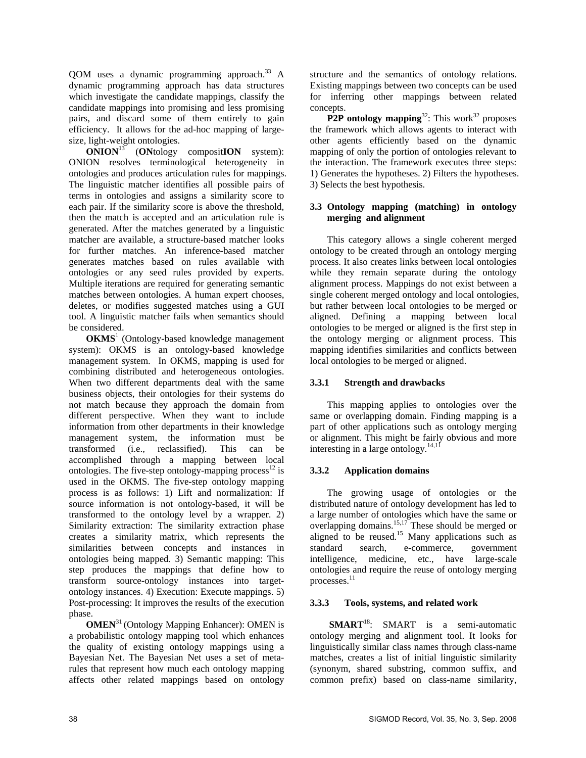QOM uses a dynamic programming approach.<sup>33</sup> A dynamic programming approach has data structures which investigate the candidate mappings, classify the candidate mappings into promising and less promising pairs, and discard some of them entirely to gain efficiency. It allows for the ad-hoc mapping of largesize, light-weight ontologies.

 **ONION**<sup>13</sup> (**ON**tology composit**ION** system): ONION resolves terminological heterogeneity in ontologies and produces articulation rules for mappings. The linguistic matcher identifies all possible pairs of terms in ontologies and assigns a similarity score to each pair. If the similarity score is above the threshold, then the match is accepted and an articulation rule is generated. After the matches generated by a linguistic matcher are available, a structure-based matcher looks for further matches. An inference-based matcher generates matches based on rules available with ontologies or any seed rules provided by experts. Multiple iterations are required for generating semantic matches between ontologies. A human expert chooses, deletes, or modifies suggested matches using a GUI tool. A linguistic matcher fails when semantics should be considered.

**OKMS**<sup>1</sup> (Ontology-based knowledge management system): OKMS is an ontology-based knowledge management system. In OKMS, mapping is used for combining distributed and heterogeneous ontologies. When two different departments deal with the same business objects, their ontologies for their systems do not match because they approach the domain from different perspective. When they want to include information from other departments in their knowledge management system, the information must be transformed (i.e., reclassified). This can be accomplished through a mapping between local ontologies. The five-step ontology-mapping process<sup>12</sup> is used in the OKMS. The five-step ontology mapping process is as follows: 1) Lift and normalization: If source information is not ontology-based, it will be transformed to the ontology level by a wrapper. 2) Similarity extraction: The similarity extraction phase creates a similarity matrix, which represents the similarities between concepts and instances in ontologies being mapped. 3) Semantic mapping: This step produces the mappings that define how to transform source-ontology instances into targetontology instances. 4) Execution: Execute mappings. 5) Post-processing: It improves the results of the execution phase.

**OMEN**31 (Ontology Mapping Enhancer): OMEN is a probabilistic ontology mapping tool which enhances the quality of existing ontology mappings using a Bayesian Net. The Bayesian Net uses a set of metarules that represent how much each ontology mapping affects other related mappings based on ontology

structure and the semantics of ontology relations. Existing mappings between two concepts can be used for inferring other mappings between related concepts.

**P2P ontology mapping**<sup>32</sup>: This work<sup>32</sup> proposes the framework which allows agents to interact with other agents efficiently based on the dynamic mapping of only the portion of ontologies relevant to the interaction. The framework executes three steps: 1) Generates the hypotheses. 2) Filters the hypotheses. 3) Selects the best hypothesis.

# **3.3 Ontology mapping (matching) in ontology merging and alignment**

This category allows a single coherent merged ontology to be created through an ontology merging process. It also creates links between local ontologies while they remain separate during the ontology alignment process. Mappings do not exist between a single coherent merged ontology and local ontologies, but rather between local ontologies to be merged or aligned. Defining a mapping between local ontologies to be merged or aligned is the first step in the ontology merging or alignment process. This mapping identifies similarities and conflicts between local ontologies to be merged or aligned.

# **3.3.1 Strength and drawbacks**

This mapping applies to ontologies over the same or overlapping domain. Finding mapping is a part of other applications such as ontology merging or alignment. This might be fairly obvious and more interesting in a large ontology. $14,11$ 

# **3.3.2 Application domains**

The growing usage of ontologies or the distributed nature of ontology development has led to a large number of ontologies which have the same or overlapping domains.<sup>15,17</sup> These should be merged or aligned to be reused.<sup>15</sup> Many applications such as standard search, e-commerce, government intelligence, medicine, etc., have large-scale ontologies and require the reuse of ontology merging processes.<sup>11</sup>

# **3.3.3 Tools, systems, and related work**

**SMART**<sup>18</sup>: SMART is a semi-automatic ontology merging and alignment tool. It looks for linguistically similar class names through class-name matches, creates a list of initial linguistic similarity (synonym, shared substring, common suffix, and common prefix) based on class-name similarity,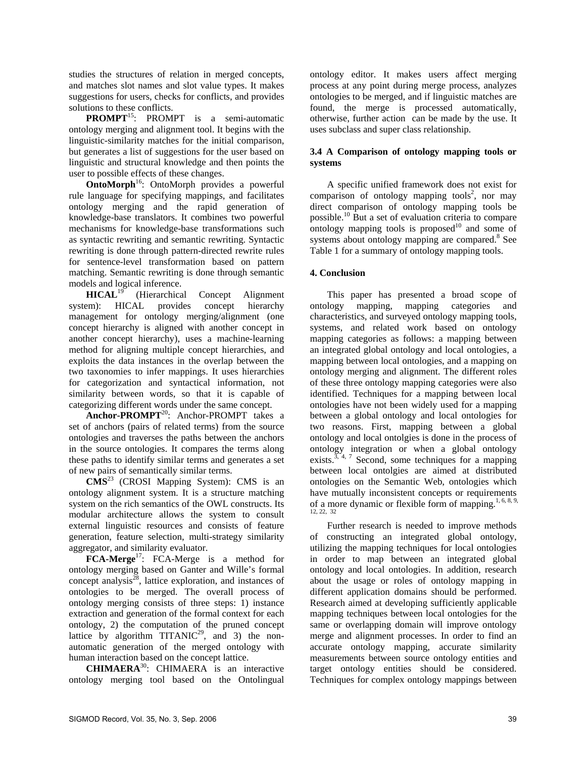studies the structures of relation in merged concepts, and matches slot names and slot value types. It makes suggestions for users, checks for conflicts, and provides solutions to these conflicts.

**PROMPT**<sup>15</sup>: PROMPT is a semi-automatic ontology merging and alignment tool. It begins with the linguistic-similarity matches for the initial comparison, but generates a list of suggestions for the user based on linguistic and structural knowledge and then points the user to possible effects of these changes.

**OntoMorph**<sup>16</sup>: OntoMorph provides a powerful rule language for specifying mappings, and facilitates ontology merging and the rapid generation of knowledge-base translators. It combines two powerful mechanisms for knowledge-base transformations such as syntactic rewriting and semantic rewriting. Syntactic rewriting is done through pattern-directed rewrite rules for sentence-level transformation based on pattern matching. Semantic rewriting is done through semantic models and logical inference.<br>HICAL<sup>19</sup> (Hierarchica

(Hierarchical Concept Alignment system): HICAL provides concept hierarchy management for ontology merging/alignment (one concept hierarchy is aligned with another concept in another concept hierarchy), uses a machine-learning method for aligning multiple concept hierarchies, and exploits the data instances in the overlap between the two taxonomies to infer mappings. It uses hierarchies for categorization and syntactical information, not similarity between words, so that it is capable of categorizing different words under the same concept.

**Anchor-PROMPT**20: Anchor-PROMPT takes a set of anchors (pairs of related terms) from the source ontologies and traverses the paths between the anchors in the source ontologies. It compares the terms along these paths to identify similar terms and generates a set of new pairs of semantically similar terms.

**CMS**23 (CROSI Mapping System): CMS is an ontology alignment system. It is a structure matching system on the rich semantics of the OWL constructs. Its modular architecture allows the system to consult external linguistic resources and consists of feature generation, feature selection, multi-strategy similarity aggregator, and similarity evaluator.

**FCA-Merge**<sup>17</sup>: FCA-Merge is a method for ontology merging based on Ganter and Wille's formal concept analysis<sup>28</sup>, lattice exploration, and instances of ontologies to be merged. The overall process of ontology merging consists of three steps: 1) instance extraction and generation of the formal context for each ontology, 2) the computation of the pruned concept lattice by algorithm  $TITANIC<sup>29</sup>$ , and 3) the nonautomatic generation of the merged ontology with human interaction based on the concept lattice.

**CHIMAERA**30: CHIMAERA is an interactive ontology merging tool based on the Ontolingual

ontology editor. It makes users affect merging process at any point during merge process, analyzes ontologies to be merged, and if linguistic matches are found, the merge is processed automatically, otherwise, further action can be made by the use. It uses subclass and super class relationship.

## **3.4 A Comparison of ontology mapping tools or systems**

A specific unified framework does not exist for  $comparison$  of ontology mapping tools<sup>2</sup>, nor may direct comparison of ontology mapping tools be possible.10 But a set of evaluation criteria to compare ontology mapping tools is proposed $10$  and some of systems about ontology mapping are compared.<sup>8</sup> See Table 1 for a summary of ontology mapping tools.

# **4. Conclusion**

This paper has presented a broad scope of ontology mapping, mapping categories and characteristics, and surveyed ontology mapping tools, systems, and related work based on ontology mapping categories as follows: a mapping between an integrated global ontology and local ontologies, a mapping between local ontologies, and a mapping on ontology merging and alignment. The different roles of these three ontology mapping categories were also identified. Techniques for a mapping between local ontologies have not been widely used for a mapping between a global ontology and local ontologies for two reasons. First, mapping between a global ontology and local ontolgies is done in the process of ontology integration or when a global ontology exists.<sup>3, 4, 7</sup> Second, some techniques for a mapping between local ontolgies are aimed at distributed ontologies on the Semantic Web, ontologies which have mutually inconsistent concepts or requirements of a more dynamic or flexible form of mapping.<sup>1, 6, 8, 9,</sup> 12, 22, 32

 Further research is needed to improve methods of constructing an integrated global ontology, utilizing the mapping techniques for local ontologies in order to map between an integrated global ontology and local ontologies. In addition, research about the usage or roles of ontology mapping in different application domains should be performed. Research aimed at developing sufficiently applicable mapping techniques between local ontologies for the same or overlapping domain will improve ontology merge and alignment processes. In order to find an accurate ontology mapping, accurate similarity measurements between source ontology entities and target ontology entities should be considered. Techniques for complex ontology mappings between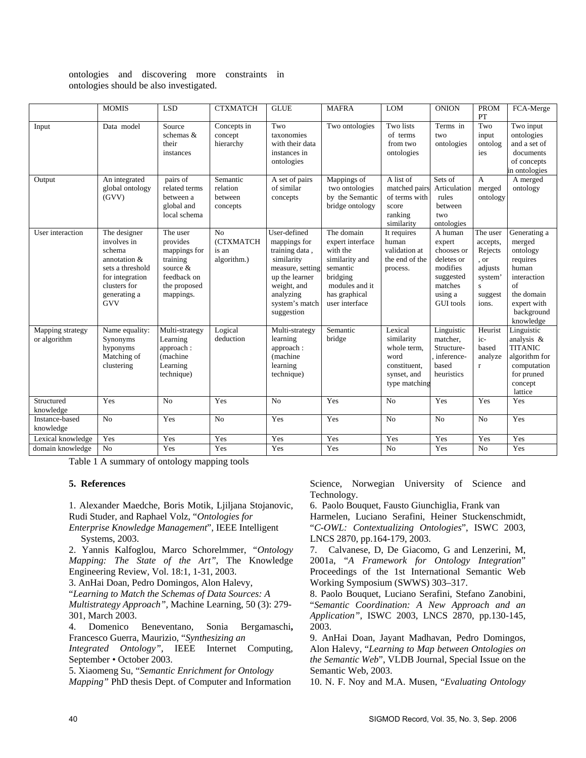ontologies and discovering more constraints in ontologies should be also investigated.

|                                  | <b>MOMIS</b>                                                                                                                               | <b>LSD</b>                                                                                               | <b>CTXMATCH</b>                             | <b>GLUE</b>                                                                                                                                                    | <b>MAFRA</b>                                                                                                                              | <b>LOM</b>                                                                                   | <b>ONION</b>                                                                                                     | <b>PROM</b><br>PT                                                                       | FCA-Merge                                                                                                                            |
|----------------------------------|--------------------------------------------------------------------------------------------------------------------------------------------|----------------------------------------------------------------------------------------------------------|---------------------------------------------|----------------------------------------------------------------------------------------------------------------------------------------------------------------|-------------------------------------------------------------------------------------------------------------------------------------------|----------------------------------------------------------------------------------------------|------------------------------------------------------------------------------------------------------------------|-----------------------------------------------------------------------------------------|--------------------------------------------------------------------------------------------------------------------------------------|
| Input                            | Data model                                                                                                                                 | Source<br>schemas $\&$<br>their<br>instances                                                             | Concepts in<br>concept<br>hierarchy         | Two<br>taxonomies<br>with their data<br>instances in<br>ontologies                                                                                             | Two ontologies                                                                                                                            | Two lists<br>of terms<br>from two<br>ontologies                                              | Terms in<br>two<br>ontologies                                                                                    | Two<br>input<br>ontolog<br>ies                                                          | Two input<br>ontologies<br>and a set of<br>documents<br>of concepts<br>in ontologies                                                 |
| Output                           | An integrated<br>global ontology<br>(GVV)                                                                                                  | pairs of<br>related terms<br>between a<br>global and<br>local schema                                     | Semantic<br>relation<br>between<br>concepts | A set of pairs<br>of similar<br>concepts                                                                                                                       | Mappings of<br>two ontologies<br>by the Semantic<br>bridge ontology                                                                       | A list of<br>matched pairs<br>of terms with<br>score<br>ranking<br>similarity                | Sets of<br>Articulation<br>rules<br>between<br>two<br>ontologies                                                 | A<br>merged<br>ontology                                                                 | A merged<br>ontology                                                                                                                 |
| User interaction                 | The designer<br>involves in<br>schema<br>annotation &<br>sets a threshold<br>for integration<br>clusters for<br>generating a<br><b>GVV</b> | The user<br>provides<br>mappings for<br>training<br>source &<br>feedback on<br>the proposed<br>mappings. | No<br>(CTXMATCH<br>is an<br>algorithm.)     | User-defined<br>mappings for<br>training data,<br>similarity<br>measure, setting<br>up the learner<br>weight, and<br>analyzing<br>system's match<br>suggestion | The domain<br>expert interface<br>with the<br>similarity and<br>semantic<br>bridging<br>modules and it<br>has graphical<br>user interface | It requires<br>human<br>validation at<br>the end of the<br>process.                          | A human<br>expert<br>chooses or<br>deletes or<br>modifies<br>suggested<br>matches<br>using a<br><b>GUI</b> tools | The user<br>accepts,<br>Rejects<br>, or<br>adjusts<br>system'<br>S.<br>suggest<br>ions. | Generating a<br>merged<br>ontology<br>requires<br>human<br>interaction<br>of<br>the domain<br>expert with<br>background<br>knowledge |
| Mapping strategy<br>or algorithm | Name equality:<br>Synonyms<br>hyponyms<br>Matching of<br>clustering                                                                        | Multi-strategy<br>Learning<br>approach:<br>(machine<br>Learning<br>technique)                            | Logical<br>deduction                        | Multi-strategy<br>learning<br>approach:<br>(machine<br>learning<br>technique)                                                                                  | Semantic<br>bridge                                                                                                                        | Lexical<br>similarity<br>whole term,<br>word<br>constituent,<br>synset, and<br>type matching | Linguistic<br>matcher.<br>Structure-<br>inference-<br>based<br>heuristics                                        | Heurist<br>ic-<br>based<br>analyze<br>r                                                 | Linguistic<br>analysis &<br><b>TITANIC</b><br>algorithm for<br>computation<br>for pruned<br>concept<br>lattice                       |
| Structured<br>knowledge          | Yes                                                                                                                                        | N <sub>o</sub>                                                                                           | Yes                                         | N <sub>o</sub>                                                                                                                                                 | Yes                                                                                                                                       | No                                                                                           | Yes                                                                                                              | Yes                                                                                     | Yes                                                                                                                                  |
| Instance-based<br>knowledge      | No                                                                                                                                         | Yes                                                                                                      | N <sub>o</sub>                              | Yes                                                                                                                                                            | Yes                                                                                                                                       | No                                                                                           | No                                                                                                               | N <sub>o</sub>                                                                          | Yes                                                                                                                                  |
| Lexical knowledge                | Yes                                                                                                                                        | Yes                                                                                                      | Yes                                         | Yes                                                                                                                                                            | Yes                                                                                                                                       | Yes                                                                                          | Yes                                                                                                              | Yes                                                                                     | Yes                                                                                                                                  |
| domain knowledge                 | N <sub>o</sub>                                                                                                                             | Yes                                                                                                      | Yes                                         | Yes                                                                                                                                                            | Yes                                                                                                                                       | No                                                                                           | Yes                                                                                                              | N <sub>o</sub>                                                                          | Yes                                                                                                                                  |

Table 1 A summary of ontology mapping tools

#### **5. References**

1. Alexander Maedche, Boris Motik, Ljiljana Stojanovic, Rudi Studer, and Raphael Volz, "*Ontologies for* 

*Enterprise Knowledge Management*", IEEE Intelligent Systems, 2003.

2. Yannis Kalfoglou, Marco Schorelmmer, *"Ontology Mapping: The State of the Art"*, The Knowledge Engineering Review, Vol. 18:1, 1-31, 2003.

3. AnHai Doan, Pedro Domingos, Alon Halevy,

"*Learning to Match the Schemas of Data Sources: A* 

*Multistrategy Approach",* Machine Learning, 50 (3): 279- 301, March 2003.

4. Domenico Beneventano, Sonia Bergamaschi**,**  Francesco Guerra, Maurizio, "*Synthesizing an* 

*Integrated Ontology",* IEEE Internet Computing, September • October 2003.

5. Xiaomeng Su, "*Semantic Enrichment for Ontology Mapping"* PhD thesis Dept. of Computer and Information

Science, Norwegian University of Science and Technology.

6. Paolo Bouquet, Fausto Giunchiglia, Frank van

Harmelen, Luciano Serafini, Heiner Stuckenschmidt, "*C-OWL: Contextualizing Ontologies*", ISWC 2003, LNCS 2870, pp.164-179, 2003.

7. Calvanese, D, De Giacomo, G and Lenzerini, M, 2001a, "*A Framework for Ontology Integration*" Proceedings of the 1st International Semantic Web Working Symposium (SWWS) 303–317.

8. Paolo Bouquet, Luciano Serafini, Stefano Zanobini, "*Semantic Coordination: A New Approach and an Application"*, ISWC 2003, LNCS 2870, pp.130-145, 2003.

9. AnHai Doan, Jayant Madhavan, Pedro Domingos, Alon Halevy, "*Learning to Map between Ontologies on the Semantic Web*", VLDB Journal, Special Issue on the Semantic Web, 2003.

10. N. F. Noy and M.A. Musen, "*Evaluating Ontology*